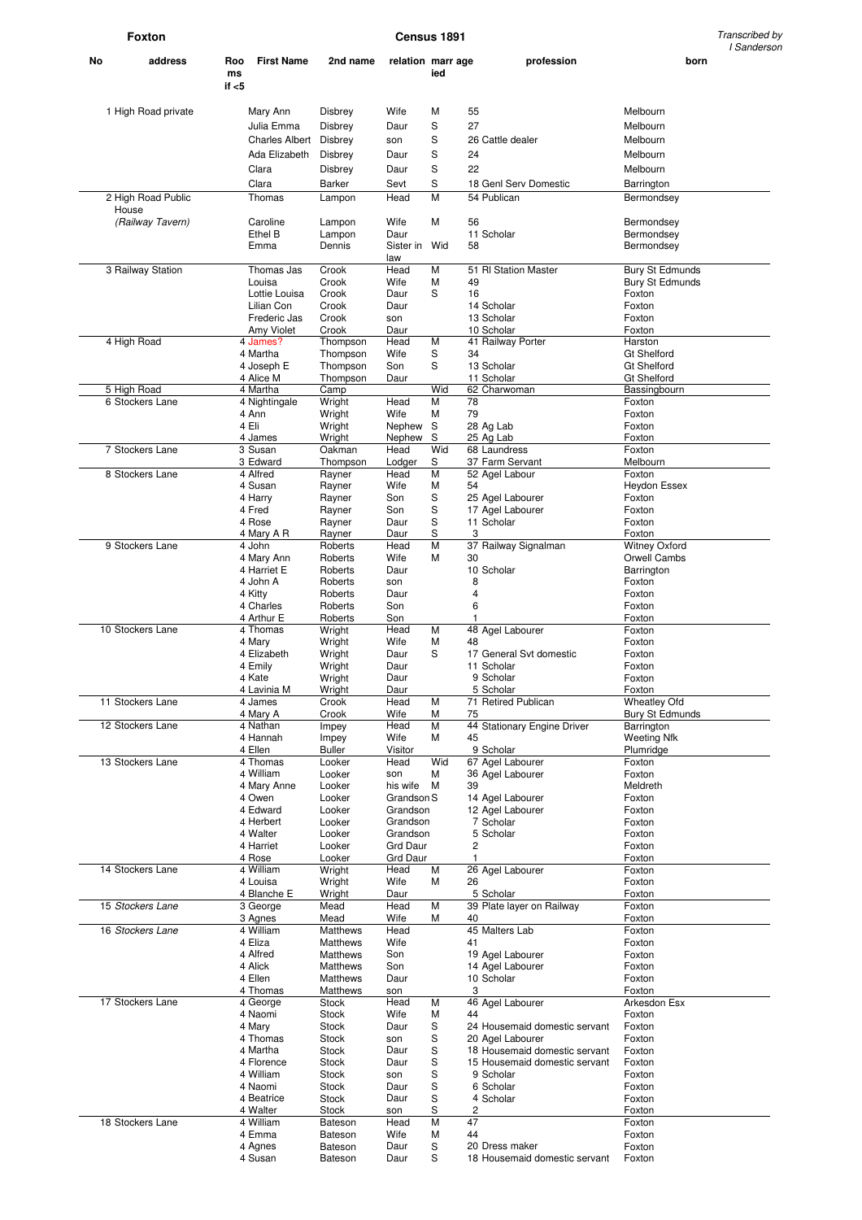**Foxton** Transcribed by **Census 1891** Constant Constant Constant Constant Constant Constant Constant Constant Constant Constant Constant Constant Constant Constant Constant Constant Constant Constant Constant Constant Cons I Sanderson

| No | address             | Roo<br>ms<br>if $<$ 5 | <b>First Name</b>          | 2nd name              | relation marr age      | ied      |            | profession                                 | born                               |
|----|---------------------|-----------------------|----------------------------|-----------------------|------------------------|----------|------------|--------------------------------------------|------------------------------------|
|    |                     |                       |                            |                       |                        |          |            |                                            |                                    |
|    | 1 High Road private |                       | Mary Ann                   | Disbrey               | Wife                   | M        | 55         |                                            | Melbourn                           |
|    |                     |                       | Julia Emma                 | Disbrey               | Daur                   | S        | 27         |                                            | Melbourn                           |
|    |                     |                       | <b>Charles Albert</b>      | Disbrey               | son                    | S        |            | 26 Cattle dealer                           | Melbourn                           |
|    |                     |                       | Ada Elizabeth              | Disbrey               | Daur                   | S        | 24         |                                            | Melbourn                           |
|    |                     |                       | Clara                      | Disbrey               | Daur                   | S        | 22         |                                            | Melbourn                           |
|    |                     |                       | Clara                      | Barker                | Sevt                   | S        |            | 18 Genl Serv Domestic                      | Barrington                         |
|    | 2 High Road Public  |                       | Thomas                     | Lampon                | Head                   | M        |            | 54 Publican                                | Bermondsey                         |
|    | House               |                       |                            |                       |                        |          |            |                                            |                                    |
|    | (Railway Tavern)    |                       | Caroline                   | Lampon                | Wife                   | M        | 56         |                                            | Bermondsey                         |
|    |                     | Ethel B               | Lampon                     | Daur                  |                        | 58       | 11 Scholar | Bermondsey                                 |                                    |
|    |                     | Emma                  | Dennis                     | Sister in Wid<br>law  |                        |          |            | Bermondsey                                 |                                    |
|    | 3 Railway Station   |                       | Thomas Jas                 | Crook                 | Head                   | M        |            | 51 RI Station Master                       | <b>Bury St Edmunds</b>             |
|    |                     |                       | Louisa                     | Crook                 | Wife                   | М        | 49         |                                            | <b>Bury St Edmunds</b>             |
|    |                     |                       | Lottie Louisa              | Crook                 | Daur                   | S        | 16         |                                            | Foxton                             |
|    |                     |                       | Lilian Con<br>Frederic Jas | Crook<br>Crook        | Daur<br>son            |          |            | 14 Scholar<br>13 Scholar                   | Foxton<br>Foxton                   |
|    |                     |                       | Amy Violet                 | Crook                 | Daur                   |          |            | 10 Scholar                                 | Foxton                             |
|    | 4 High Road         |                       | 4 James?                   | Thompson              | Head                   | M        |            | 41 Railway Porter                          | Harston                            |
|    |                     |                       | 4 Martha                   | Thompson              | Wife                   | S        | 34         |                                            | <b>Gt Shelford</b>                 |
|    |                     |                       | 4 Joseph E                 | Thompson              | Son                    | S        |            | 13 Scholar                                 | <b>Gt Shelford</b>                 |
|    | 5 High Road         |                       | 4 Alice M<br>4 Martha      | Thompson<br>Camp      | Daur                   | Wid      |            | 11 Scholar<br>62 Charwoman                 | <b>Gt Shelford</b><br>Bassingbourn |
|    | 6 Stockers Lane     |                       | 4 Nightingale              | Wright                | Head                   | M        | 78         |                                            | Foxton                             |
|    |                     |                       | 4 Ann                      | Wright                | Wife                   | М        | 79         |                                            | Foxton                             |
|    |                     |                       | 4 Eli                      | Wright                | Nephew                 | S        |            | 28 Ag Lab                                  | Foxton                             |
|    | 7 Stockers Lane     |                       | 4 James                    | Wright<br>Oakman      | Nephew<br>Head         | S<br>Wid |            | 25 Ag Lab<br>68 Laundress                  | Foxton<br>Foxton                   |
|    |                     |                       | 3 Susan<br>3 Edward        | Thompson              | Lodger                 | S        |            | 37 Farm Servant                            | Melbourn                           |
|    | 8 Stockers Lane     |                       | 4 Alfred                   | Rayner                | Head                   | M        |            | 52 Agel Labour                             | Foxton                             |
|    |                     |                       | 4 Susan                    | Rayner                | Wife                   | М        | 54         |                                            | <b>Heydon Essex</b>                |
|    |                     |                       | 4 Harry                    | Rayner                | Son                    | S        |            | 25 Agel Labourer                           | Foxton                             |
|    |                     |                       | 4 Fred<br>4 Rose           | Rayner                | Son                    | S        |            | 17 Agel Labourer                           | Foxton                             |
|    |                     |                       | 4 Mary A R                 | Rayner<br>Rayner      | Daur<br>Daur           | S<br>S   | 3          | 11 Scholar                                 | Foxton<br>Foxton                   |
|    | 9 Stockers Lane     |                       | 4 John                     | Roberts               | Head                   | M        |            | 37 Railway Signalman                       | <b>Witney Oxford</b>               |
|    |                     |                       | 4 Mary Ann                 | Roberts               | Wife                   | М        | 30         |                                            | Orwell Cambs                       |
|    |                     |                       | 4 Harriet E                | Roberts               | Daur                   |          |            | 10 Scholar                                 | Barrington                         |
|    |                     |                       | 4 John A                   | Roberts               | son                    |          | 8<br>4     |                                            | Foxton                             |
|    |                     |                       | 4 Kitty<br>4 Charles       | Roberts<br>Roberts    | Daur<br>Son            |          | 6          |                                            | Foxton<br>Foxton                   |
|    |                     |                       | 4 Arthur E                 | Roberts               | Son                    |          | 1          |                                            | Foxton                             |
|    | 10 Stockers Lane    |                       | 4 Thomas                   | Wright                | Head                   | M        |            | 48 Agel Labourer                           | Foxton                             |
|    |                     |                       | 4 Mary                     | Wright                | Wife                   | М        | 48         |                                            | Foxton                             |
|    |                     |                       | 4 Elizabeth<br>4 Emily     | Wright<br>Wright      | Daur<br>Daur           | S        |            | 17 General Svt domestic<br>11 Scholar      | Foxton<br>Foxton                   |
|    |                     |                       | 4 Kate                     | Wright                | Daur                   |          |            | 9 Scholar                                  | Foxton                             |
|    |                     |                       | 4 Lavinia M                | Wright                | Daur                   |          |            | 5 Scholar                                  | Foxton                             |
|    | 11 Stockers Lane    |                       | 4 James                    | Crook                 | Head                   | M        |            | 71 Retired Publican                        | <b>Wheatley Ofd</b>                |
|    |                     |                       | 4 Mary A                   | Crook                 | Wife                   | М<br>M   | 75         | 44 Stationary Engine Driver                | <b>Bury St Edmunds</b>             |
|    | 12 Stockers Lane    |                       | 4 Nathan<br>4 Hannah       | Impey<br>Impey        | Head<br>Wife           | М        | 45         |                                            | Barrington<br>Weeting Nfk          |
|    |                     |                       | 4 Ellen                    | <b>Buller</b>         | Visitor                |          |            | 9 Scholar                                  | Plumridge                          |
|    | 13 Stockers Lane    |                       | 4 Thomas                   | Looker                | Head                   | Wid      |            | 67 Agel Labourer                           | Foxton                             |
|    |                     |                       | 4 William                  | Looker                | son                    | М        |            | 36 Agel Labourer                           | Foxton                             |
|    |                     |                       | 4 Mary Anne<br>4 Owen      | Looker<br>Looker      | his wife<br>Grandson S | M        | 39         | 14 Agel Labourer                           | Meldreth<br>Foxton                 |
|    |                     |                       | 4 Edward                   | Looker                | Grandson               |          |            | 12 Agel Labourer                           | Foxton                             |
|    |                     |                       | 4 Herbert                  | Looker                | Grandson               |          |            | 7 Scholar                                  | Foxton                             |
|    |                     |                       | 4 Walter                   | Looker                | Grandson               |          |            | 5 Scholar                                  | Foxton                             |
|    |                     |                       | 4 Harriet                  | Looker                | Grd Daur               |          | 2<br>1     |                                            | Foxton                             |
|    | 14 Stockers Lane    |                       | 4 Rose<br>4 William        | Looker<br>Wright      | Grd Daur<br>Head       | M        |            | 26 Agel Labourer                           | Foxton<br>Foxton                   |
|    |                     |                       | 4 Louisa                   | Wright                | Wife                   | М        | 26         |                                            | Foxton                             |
|    |                     |                       | 4 Blanche E                | Wright                | Daur                   |          |            | 5 Scholar                                  | Foxton                             |
|    | 15 Stockers Lane    |                       | 3 George                   | Mead                  | Head                   | M        |            | 39 Plate layer on Railway                  | Foxton                             |
|    |                     |                       | 3 Agnes                    | Mead                  | Wife                   | М        | 40         |                                            | Foxton                             |
|    | 16 Stockers Lane    |                       | 4 William<br>4 Eliza       | Matthews<br>Matthews  | Head<br>Wife           |          | 41         | 45 Malters Lab                             | Foxton<br>Foxton                   |
|    |                     |                       | 4 Alfred                   | Matthews              | Son                    |          |            | 19 Agel Labourer                           | Foxton                             |
|    |                     |                       | 4 Alick                    | Matthews              | Son                    |          |            | 14 Agel Labourer                           | Foxton                             |
|    |                     |                       | 4 Ellen                    | Matthews              | Daur                   |          |            | 10 Scholar                                 | Foxton                             |
|    | 17 Stockers Lane    |                       | 4 Thomas<br>4 George       | Matthews<br>Stock     | son<br>Head            | М        | 3          | 46 Agel Labourer                           | Foxton<br>Arkesdon Esx             |
|    |                     |                       | 4 Naomi                    | Stock                 | Wife                   | М        | 44         |                                            | Foxton                             |
|    |                     |                       | 4 Mary                     | Stock                 | Daur                   | S        |            | 24 Housemaid domestic servant              | Foxton                             |
|    |                     |                       | 4 Thomas                   | Stock                 | son                    | S        |            | 20 Agel Labourer                           | Foxton                             |
|    |                     |                       | 4 Martha                   | Stock                 | Daur                   | S        |            | 18 Housemaid domestic servant              | Foxton                             |
|    |                     |                       | 4 Florence<br>4 William    | Stock<br><b>Stock</b> | Daur<br>son            | S<br>S   |            | 15 Housemaid domestic servant<br>9 Scholar | Foxton<br>Foxton                   |
|    |                     |                       | 4 Naomi                    | <b>Stock</b>          | Daur                   | S        |            | 6 Scholar                                  | Foxton                             |
|    |                     |                       | 4 Beatrice                 | Stock                 | Daur                   | S        |            | 4 Scholar                                  | Foxton                             |
|    |                     |                       | 4 Walter                   | <b>Stock</b>          | son                    | S        | 2          |                                            | Foxton                             |
|    | 18 Stockers Lane    |                       | 4 William                  | Bateson               | Head                   | М        | 47<br>44   |                                            | Foxton                             |
|    |                     |                       | 4 Emma<br>4 Agnes          | Bateson<br>Bateson    | Wife<br>Daur           | М<br>S   |            | 20 Dress maker                             | Foxton<br>Foxton                   |
|    |                     |                       | 4 Susan                    | Bateson               | Daur                   | S        |            | 18 Housemaid domestic servant              | Foxton                             |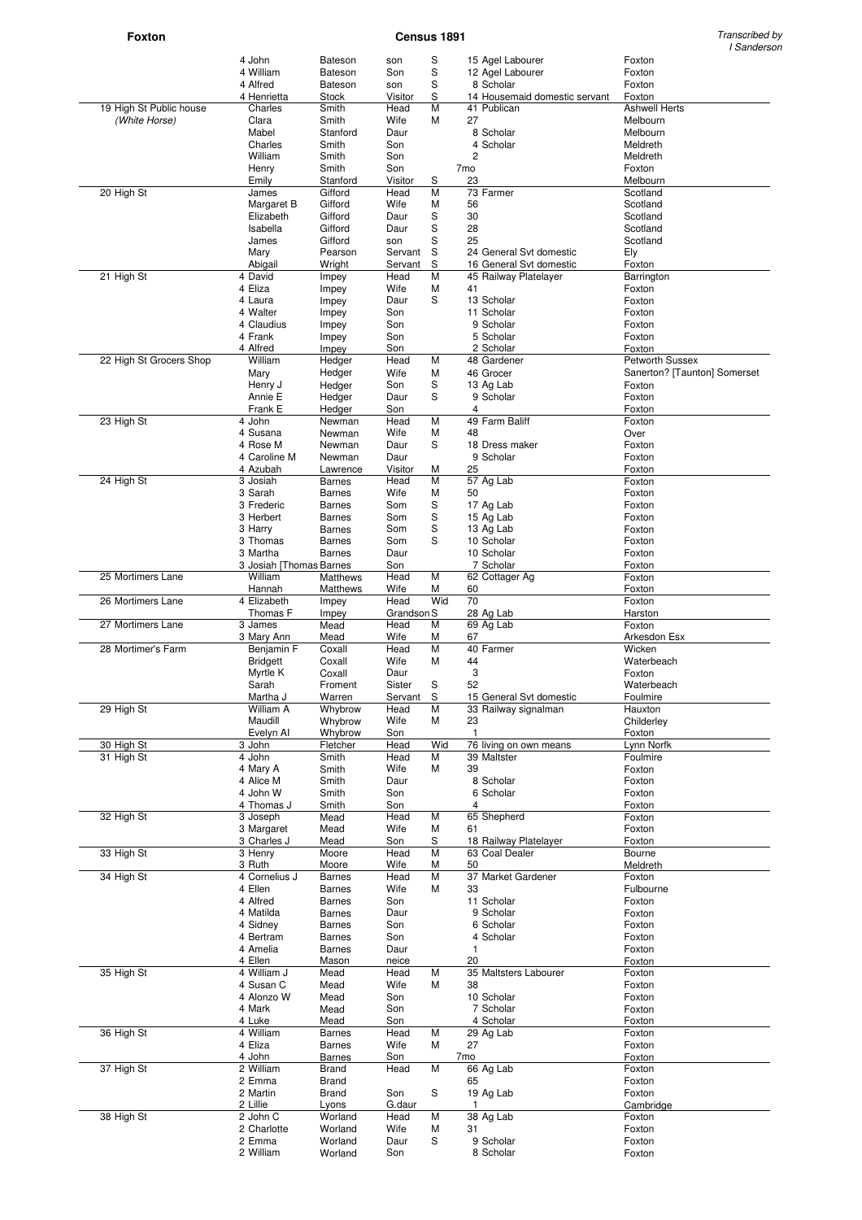# **Foxton** Census 1891

Transcribed by<br>I Sanderson

|                          |                         |                    |             |     |                 |                               | , Januars                    |
|--------------------------|-------------------------|--------------------|-------------|-----|-----------------|-------------------------------|------------------------------|
|                          | 4 John                  | <b>Bateson</b>     | son         | S   |                 | 15 Agel Labourer              | Foxton                       |
|                          | 4 William               | Bateson            | Son         | S   |                 | 12 Agel Labourer              | Foxton                       |
|                          | 4 Alfred                | <b>Bateson</b>     | son         | S   |                 | 8 Scholar                     | Foxton                       |
|                          | 4 Henrietta             | Stock              | Visitor     | S   |                 | 14 Housemaid domestic servant | Foxton                       |
|                          |                         |                    |             |     |                 |                               |                              |
| 19 High St Public house  | Charles                 | Smith              | Head        | M   |                 | 41 Publican                   | <b>Ashwell Herts</b>         |
| (White Horse)            | Clara                   | Smith              | Wife        | М   | 27              |                               | Melbourn                     |
|                          | Mabel                   | Stanford           | Daur        |     |                 | 8 Scholar                     | Melbourn                     |
|                          | Charles                 | Smith              | Son         |     |                 | 4 Scholar                     | Meldreth                     |
|                          |                         |                    |             |     |                 |                               |                              |
|                          | William                 | Smith              | Son         |     | 2               |                               | Meldreth                     |
|                          | Henry                   | Smith              | Son         |     | 7 <sub>mo</sub> |                               | Foxton                       |
|                          | Emily                   | Stanford           | Visitor     | S   | 23              |                               | Melbourn                     |
| 20 High St               | James                   | Gifford            | Head        | M   |                 | 73 Farmer                     | Scotland                     |
|                          |                         |                    |             |     |                 |                               |                              |
|                          | Margaret B              | Gifford            | Wife        | М   | 56              |                               | Scotland                     |
|                          | Elizabeth               | Gifford            | Daur        | S   | 30              |                               | Scotland                     |
|                          | Isabella                | Gifford            | Daur        | S   | 28              |                               | Scotland                     |
|                          | James                   | Gifford            | son         | S   | 25              |                               | Scotland                     |
|                          | Mary                    | Pearson            | Servant     | S   |                 | 24 General Svt domestic       | Ely                          |
|                          |                         |                    |             |     |                 |                               |                              |
|                          | Abigail                 | Wright             | Servant     | S   |                 | 16 General Svt domestic       | Foxton                       |
| 21 High St               | 4 David                 | Impey              | Head        | M   |                 | 45 Railway Platelayer         | Barrington                   |
|                          | 4 Eliza                 | Impey              | Wife        | М   | 41              |                               | Foxton                       |
|                          | 4 Laura                 | Impey              | Daur        | S   |                 | 13 Scholar                    | Foxton                       |
|                          |                         |                    |             |     |                 |                               |                              |
|                          | 4 Walter                | Impey              | Son         |     |                 | 11 Scholar                    | Foxton                       |
|                          | 4 Claudius              | Impey              | Son         |     |                 | 9 Scholar                     | Foxton                       |
|                          | 4 Frank                 | Impey              | Son         |     |                 | 5 Scholar                     | Foxton                       |
|                          | 4 Alfred                | Impey              | Son         |     |                 | 2 Scholar                     | Foxton                       |
|                          |                         |                    |             |     |                 |                               |                              |
| 22 High St Grocers Shop  | William                 | Hedger             | Head        | M   |                 | 48 Gardener                   | <b>Petworth Sussex</b>       |
|                          | Mary                    | Hedger             | Wife        | M   |                 | 46 Grocer                     | Sanerton? [Taunton] Somerset |
|                          | Henry J                 | Hedger             | Son         | S   |                 | 13 Ag Lab                     | Foxton                       |
|                          | Annie E                 | Hedger             | Daur        | S   |                 | 9 Scholar                     | Foxton                       |
|                          |                         |                    |             |     |                 |                               |                              |
|                          | Frank E                 | Hedger             | Son         |     | 4               |                               | Foxton                       |
| 23 High St               | 4 John                  | Newman             | Head        | M   |                 | 49 Farm Baliff                | Foxton                       |
|                          | 4 Susana                | Newman             | Wife        | М   | 48              |                               | Over                         |
|                          | 4 Rose M                |                    |             |     |                 |                               |                              |
|                          |                         | Newman             | Daur        | S   |                 | 18 Dress maker                | Foxton                       |
|                          | 4 Caroline M            | Newman             | Daur        |     |                 | 9 Scholar                     | Foxton                       |
|                          | 4 Azubah                | Lawrence           | Visitor     | М   | 25              |                               | Foxton                       |
| 24 High St               | 3 Josiah                | <b>Barnes</b>      | Head        | M   |                 | 57 Ag Lab                     | Foxton                       |
|                          | 3 Sarah                 |                    | Wife        |     |                 |                               |                              |
|                          |                         | <b>Barnes</b>      |             | М   | 50              |                               | Foxton                       |
|                          | 3 Frederic              | <b>Barnes</b>      | Som         | S   |                 | 17 Ag Lab                     | Foxton                       |
|                          | 3 Herbert               | <b>Barnes</b>      | Som         | S   |                 | 15 Ag Lab                     | Foxton                       |
|                          | 3 Harry                 | <b>Barnes</b>      | Som         | S   |                 | 13 Ag Lab                     | Foxton                       |
|                          |                         |                    |             |     |                 |                               |                              |
|                          | 3 Thomas                | <b>Barnes</b>      | Som         | S   |                 | 10 Scholar                    | Foxton                       |
|                          | 3 Martha                | <b>Barnes</b>      | Daur        |     |                 | 10 Scholar                    | Foxton                       |
|                          | 3 Josiah [Thomas Barnes |                    | Son         |     |                 | 7 Scholar                     | Foxton                       |
| 25 Mortimers Lane        | William                 | Matthews           | Head        | М   |                 | 62 Cottager Ag                | Foxton                       |
|                          |                         |                    |             |     |                 |                               |                              |
|                          | Hannah                  | Matthews           | Wife        | М   | 60              |                               | Foxton                       |
| 26 Mortimers Lane        | 4 Elizabeth             | Impey              | Head        | Wid | 70              |                               | Foxton                       |
|                          |                         |                    |             |     |                 |                               |                              |
|                          | Thomas F                |                    | Grandson S  |     |                 |                               | Harston                      |
|                          |                         | Impey              |             |     |                 | 28 Ag Lab                     |                              |
| 27 Mortimers Lane        | 3 James                 | Mead               | Head        | M   |                 | 69 Ag Lab                     | Foxton                       |
|                          | 3 Mary Ann              | Mead               | Wife        | М   | 67              |                               | Arkesdon Esx                 |
| 28 Mortimer's Farm       | Benjamin F              | Coxall             | Head        | M   |                 | 40 Farmer                     | Wicken                       |
|                          | <b>Bridgett</b>         | Coxall             | Wife        | М   | 44              |                               | Waterbeach                   |
|                          | Myrtle K                |                    | Daur        |     |                 |                               | Foxton                       |
|                          |                         | Coxall             |             |     | 3               |                               |                              |
|                          | Sarah                   | Froment            | Sister      | S   | 52              |                               | Waterbeach                   |
|                          | Martha J                | Warren             | Servant     | S   |                 | 15 General Syt domestic       | Foulmire                     |
| 29 High St               | William A               | Whybrow            | Head        | М   |                 | 33 Railway signalman          | Hauxton                      |
|                          | Maudill                 | Whybrow            | Wife        | М   | 23              |                               | Childerley                   |
|                          |                         |                    |             |     |                 |                               |                              |
|                          | Evelyn Al               | Whybrow            | Son         |     | $\mathbf{1}$    |                               | Foxton                       |
|                          | 3 John                  | Fletcher           | Head        | Wid |                 | 76 living on own means        | Lynn Norfk                   |
|                          | 4 John                  | Smith              | Head        | М   |                 | 39 Maltster                   | Foulmire                     |
| 31 High St               |                         |                    | Wife        | М   | 39              |                               |                              |
|                          | 4 Mary A                | Smith              |             |     |                 |                               | Foxton                       |
|                          | 4 Alice M               | Smith              | Daur        |     |                 | 8 Scholar                     | Foxton                       |
|                          | 4 John W                | Smith              | Son         |     |                 | 6 Scholar                     | Foxton                       |
|                          | 4 Thomas J              | Smith              | Son         |     | 4               |                               | Foxton                       |
|                          |                         |                    |             |     |                 |                               |                              |
|                          | 3 Joseph                | Mead               | Head        | M   |                 | 65 Shepherd                   | Foxton                       |
| 30 High St<br>32 High St | 3 Margaret              | Mead               | Wife        | М   | 61              |                               | Foxton                       |
|                          | 3 Charles J             | Mead               | Son         | S   |                 | 18 Railway Platelayer         | Foxton                       |
| 33 High St               | 3 Henry                 | Moore              | Head        | M   |                 | 63 Coal Dealer                | Bourne                       |
|                          | 3 Ruth                  |                    | Wife        | М   | 50              |                               | Meldreth                     |
|                          |                         | Moore              |             |     |                 |                               |                              |
|                          | 4 Cornelius J           | <b>Barnes</b>      | Head        | M   |                 | 37 Market Gardener            | Foxton                       |
|                          | 4 Ellen                 | <b>Barnes</b>      | Wife        | М   | 33              |                               | Fulbourne                    |
|                          | 4 Alfred                | <b>Barnes</b>      | Son         |     |                 | 11 Scholar                    | Foxton                       |
|                          |                         |                    |             |     |                 |                               |                              |
|                          | 4 Matilda               | <b>Barnes</b>      | Daur        |     |                 | 9 Scholar                     | Foxton                       |
| 34 High St               | 4 Sidney                | <b>Barnes</b>      | Son         |     |                 | 6 Scholar                     | Foxton                       |
|                          | 4 Bertram               | <b>Barnes</b>      | Son         |     |                 | 4 Scholar                     | Foxton                       |
|                          | 4 Amelia                | <b>Barnes</b>      | Daur        |     | 1               |                               | Foxton                       |
|                          |                         |                    |             |     |                 |                               |                              |
|                          | 4 Ellen                 | Mason              | neice       |     | 20              |                               | Foxton                       |
|                          | 4 William J             | Mead               | Head        | M   |                 | 35 Maltsters Labourer         | Foxton                       |
|                          | 4 Susan C               | Mead               | Wife        | М   | 38              |                               | Foxton                       |
|                          |                         |                    |             |     |                 |                               |                              |
|                          | 4 Alonzo W              | Mead               | Son         |     |                 | 10 Scholar                    | Foxton                       |
|                          | 4 Mark                  | Mead               | Son         |     |                 | 7 Scholar                     | Foxton                       |
|                          | 4 Luke                  | Mead               | Son         |     |                 | 4 Scholar                     | Foxton                       |
|                          |                         |                    |             |     |                 |                               |                              |
|                          | 4 William               | <b>Barnes</b>      | Head        | M   |                 | 29 Ag Lab                     | Foxton                       |
|                          | 4 Eliza                 | <b>Barnes</b>      | Wife        | М   | 27              |                               | Foxton                       |
|                          | 4 John                  | <b>Barnes</b>      | Son         |     | 7 <sub>mo</sub> |                               | Foxton                       |
|                          | 2 William               | <b>Brand</b>       | Head        | M   |                 | 66 Ag Lab                     | Foxton                       |
|                          |                         |                    |             |     |                 |                               |                              |
|                          | 2 Emma                  | <b>Brand</b>       |             |     | 65              |                               | Foxton                       |
|                          | 2 Martin                | <b>Brand</b>       | Son         | S   |                 | 19 Ag Lab                     | Foxton                       |
| 35 High St<br>36 High St | 2 Lillie                | Lyons              | G.daur      |     | -1              |                               | Cambridge                    |
| 38 High St               | 2 John C                | Worland            | Head        | М   |                 | 38 Ag Lab                     | Foxton                       |
| 37 High St               |                         |                    |             |     |                 |                               |                              |
|                          | 2 Charlotte             | Worland            | Wife        | M   | 31              |                               | Foxton                       |
|                          | 2 Emma<br>2 William     | Worland<br>Worland | Daur<br>Son | S   |                 | 9 Scholar<br>8 Scholar        | Foxton<br>Foxton             |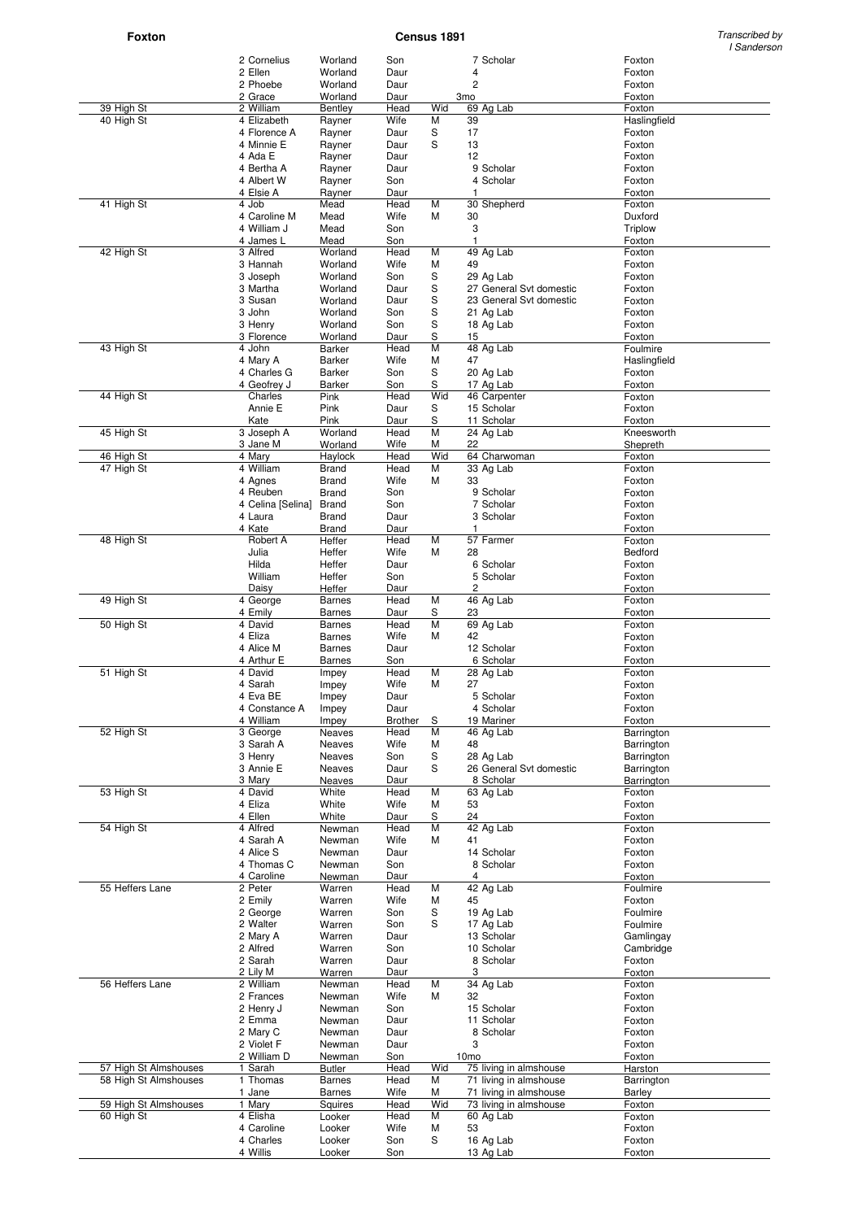**Foxton** Transcribed by **Census 1891** Constant Constant Constant Constant Constant Constant Constant Constant Constant Constant Constant Constant Constant Constant Constant Constant Constant Constant Constant Constant Cons I Sanderson

|                       | 2 Cornelius               | Worland                        | Son                    |                  |                       | 7 Scholar                | Foxton               |
|-----------------------|---------------------------|--------------------------------|------------------------|------------------|-----------------------|--------------------------|----------------------|
|                       | 2 Ellen<br>2 Phoebe       | Worland<br>Worland             | Daur                   |                  | 4<br>2                |                          | Foxton<br>Foxton     |
|                       | 2 Grace                   | Worland                        | Daur<br>Daur           |                  | 3 <sub>mo</sub>       |                          | Foxton               |
| 39 High St            | 2 William                 | Bentley                        | Head                   | Wid              |                       | 69 Ag Lab                | Foxton               |
| 40 High St            | 4 Elizabeth               | Rayner                         | Wife                   | M                | 39                    |                          | Haslingfield         |
|                       | 4 Florence A              | Rayner                         | Daur                   | S                | 17                    |                          | Foxton               |
|                       | 4 Minnie E                | Rayner                         | Daur                   | S                | 13                    |                          | Foxton               |
|                       | 4 Ada E<br>4 Bertha A     | Rayner<br>Rayner               | Daur<br>Daur           |                  | 12                    | 9 Scholar                | Foxton<br>Foxton     |
|                       | 4 Albert W                | Rayner                         | Son                    |                  |                       | 4 Scholar                | Foxton               |
|                       | 4 Elsie A                 | Rayner                         | Daur                   |                  | 1                     |                          | Foxton               |
| 41 High St            | 4 Job                     | Mead                           | Head                   | M                |                       | 30 Shepherd              | Foxton               |
|                       | 4 Caroline M              | Mead                           | Wife                   | М                | 30                    |                          | Duxford              |
|                       | 4 William J               | Mead                           | Son                    |                  | 3                     |                          | Triplow              |
| 42 High St            | 4 James L<br>3 Alfred     | Mead<br>Worland                | Son<br>Head            | M                | $\mathbf{1}$          | 49 Ag Lab                | Foxton<br>Foxton     |
|                       | 3 Hannah                  | Worland                        | Wife                   | M                | 49                    |                          | Foxton               |
|                       | 3 Joseph                  | Worland                        | Son                    | S                |                       | 29 Ag Lab                | Foxton               |
|                       | 3 Martha                  | Worland                        | Daur                   | S                |                       | 27 General Svt domestic  | Foxton               |
|                       | 3 Susan                   | Worland                        | Daur                   | S                |                       | 23 General Svt domestic  | Foxton               |
|                       | 3 John                    | Worland                        | Son                    | S                |                       | 21 Ag Lab                | Foxton               |
|                       | 3 Henry<br>3 Florence     | Worland<br>Worland             | Son<br>Daur            | S<br>$\mathbf S$ | 15                    | 18 Ag Lab                | Foxton<br>Foxton     |
| 43 High St            | 4 John                    | Barker                         | Head                   | M                |                       | 48 Ag Lab                | Foulmire             |
|                       | 4 Mary A                  | Barker                         | Wife                   | M                | 47                    |                          | Haslingfield         |
|                       | 4 Charles G               | Barker                         | Son                    | S                |                       | 20 Ag Lab                | Foxton               |
|                       | 4 Geofrey J               | Barker                         | Son                    | S                |                       | 17 Ag Lab                | Foxton               |
| 44 High St            | Charles                   | Pink                           | Head                   | Wid              |                       | 46 Carpenter             | Foxton               |
|                       | Annie E<br>Kate           | Pink<br>Pink                   | Daur<br>Daur           | S<br>S           |                       | 15 Scholar<br>11 Scholar | Foxton<br>Foxton     |
| 45 High St            | 3 Joseph A                | Worland                        | Head                   | M                |                       | $\overline{24}$ Ag Lab   | Kneesworth           |
|                       | 3 Jane M                  | Worland                        | Wife                   | М                | 22                    |                          | Shepreth             |
| 46 High St            | 4 Mary                    | Haylock                        | Head                   | Wid              |                       | 64 Charwoman             | Foxton               |
| 47 High St            | 4 William                 | <b>Brand</b>                   | Head                   | M                |                       | 33 Ag Lab                | Foxton               |
|                       | 4 Agnes<br>4 Reuben       | <b>Brand</b><br><b>Brand</b>   | Wife<br>Son            | M                | 33                    | 9 Scholar                | Foxton<br>Foxton     |
|                       | 4 Celina [Selina]         | <b>Brand</b>                   | Son                    |                  |                       | 7 Scholar                | Foxton               |
|                       | 4 Laura                   | <b>Brand</b>                   | Daur                   |                  |                       | 3 Scholar                | Foxton               |
|                       | 4 Kate                    | <b>Brand</b>                   | Daur                   |                  | 1                     |                          | Foxton               |
| 48 High St            | Robert A                  | Heffer                         | Head                   | M                |                       | 57 Farmer                | Foxton               |
|                       | Julia                     | Heffer                         | Wife                   | м                | 28                    |                          | Bedford              |
|                       | Hilda<br>William          | Heffer<br>Heffer               | Daur<br>Son            |                  |                       | 6 Scholar<br>5 Scholar   | Foxton<br>Foxton     |
|                       | Daisy                     | Heffer                         | Daur                   |                  | 2                     |                          | Foxton               |
| 49 High St            | 4 George                  | <b>Barnes</b>                  | Head                   | M                |                       | 46 Ag Lab                | Foxton               |
|                       | 4 Emily                   | <b>Barnes</b>                  | Daur                   | S                | 23                    |                          | Foxton               |
| 50 High St            | 4 David                   | <b>Barnes</b>                  | Head                   | M                |                       | 69 Ag Lab                | Foxton               |
|                       | 4 Eliza<br>4 Alice M      | <b>Barnes</b><br><b>Barnes</b> | Wife<br>Daur           | M                | 42                    | 12 Scholar               | Foxton               |
|                       | 4 Arthur E                | <b>Barnes</b>                  | Son                    |                  |                       | 6 Scholar                | Foxton<br>Foxton     |
| 51 High St            | 4 David                   | Impey                          | Head                   | M                |                       | 28 Ag Lab                | Foxton               |
|                       | 4 Sarah                   | Impey                          | Wife                   | M                | 27                    |                          | Foxton               |
|                       | 4 Eva BE                  | Impey                          | Daur                   |                  |                       | 5 Scholar                | Foxton               |
|                       | 4 Constance A             | Impey                          | Daur                   |                  |                       | 4 Scholar                | Foxton               |
| 52 High St            | 4 William<br>3 George     | Impey<br><b>Neaves</b>         | <b>Brother</b><br>Head | S<br>M           |                       | 19 Mariner<br>46 Ag Lab  | Foxton<br>Barrington |
|                       | 3 Sarah A                 | Neaves                         | Wife                   | М                | 48                    |                          | Barrington           |
|                       | 3 Henry                   | Neaves                         | Son                    | S                |                       | 28 Ag Lab                | Barrington           |
|                       | 3 Annie E                 | Neaves                         | Daur                   | S                |                       | 26 General Svt domestic  | Barrington           |
|                       | 3 Mary                    | Neaves                         | Daur                   |                  |                       | 8 Scholar                | Barrington           |
| 53 High St            | 4 David<br>4 Eliza        | White<br>White                 | Head<br>Wife           | M<br>М           | 53                    | 63 Ag Lab                | Foxton<br>Foxton     |
|                       | 4 Ellen                   | White                          | Daur                   | S                | 24                    |                          | Foxton               |
| 54 High St            | $\overline{4}$ Alfred     | Newman                         | Head                   | M                |                       | 42 Ag Lab                | Foxton               |
|                       | 4 Sarah A                 | Newman                         | Wife                   | M                | 41                    |                          | Foxton               |
|                       | 4 Alice S                 | Newman                         | Daur                   |                  |                       | 14 Scholar               | Foxton               |
|                       | 4 Thomas C                | Newman                         | Son                    |                  |                       | 8 Scholar                | Foxton               |
| 55 Heffers Lane       | 4 Caroline<br>2 Peter     | Newman<br>Warren               | Daur<br>Head           | M                | 4                     | $\overline{42}$ Ag Lab   | Foxton<br>Foulmire   |
|                       | 2 Emily                   | Warren                         | Wife                   | м                | 45                    |                          | Foxton               |
|                       | 2 George                  | Warren                         | Son                    | S                |                       | 19 Ag Lab                | Foulmire             |
|                       | 2 Walter                  | Warren                         | Son                    | S                |                       | 17 Ag Lab                | Foulmire             |
|                       | 2 Mary A                  | Warren                         | Daur                   |                  |                       | 13 Scholar               | Gamlingay            |
|                       | 2 Alfred                  | Warren                         | Son                    |                  |                       | 10 Scholar               | Cambridge            |
|                       | 2 Sarah                   | Warren                         | Daur                   |                  |                       | 8 Scholar                | Foxton               |
| 56 Heffers Lane       | 2 Lily M<br>2 William     | Warren<br>Newman               | Daur<br>Head           | M                | 3                     | 34 Ag Lab                | Foxton<br>Foxton     |
|                       | 2 Frances                 | Newman                         | Wife                   | М                | 32                    |                          | Foxton               |
|                       | 2 Henry J                 | Newman                         | Son                    |                  |                       | 15 Scholar               | Foxton               |
|                       | 2 Emma                    | Newman                         | Daur                   |                  |                       | 11 Scholar               | Foxton               |
|                       | 2 Mary C                  | Newman                         | Daur                   |                  |                       | 8 Scholar                | Foxton               |
|                       | 2 Violet F<br>2 William D | Newman<br>Newman               | Daur<br>$Sop_$         |                  | 3<br>10 <sub>mo</sub> |                          | Foxton<br>Foxton     |
| 57 High St Almshouses | 1 Sarah                   | <b>Butler</b>                  | Head                   | Wid              |                       | 75 living in almshouse   | Harston              |
| 58 High St Almshouses | 1 Thomas                  | <b>Barnes</b>                  | Head                   | M                |                       | 71 living in almshouse   | Barrington           |
|                       | 1 Jane                    | <b>Barnes</b>                  | Wife                   | М                |                       | 71 living in almshouse   | Barley               |
| 59 High St Almshouses | 1 Mary                    | Squires                        | Head                   | Wid              |                       | 73 living in almshouse   | Foxton               |
| 60 High St            | 4 Elisha<br>4 Caroline    | Looker<br>Looker               | Head                   | M<br>M           | 53                    | 60 Ag Lab                | Foxton<br>Foxton     |
|                       | 4 Charles                 | Looker                         | Wife<br>Son            | S                |                       | 16 Ag Lab                | Foxton               |
|                       | 4 Willis                  | Looker                         | Son                    |                  |                       | 13 Ag Lab                | Foxton               |
|                       |                           |                                |                        |                  |                       |                          |                      |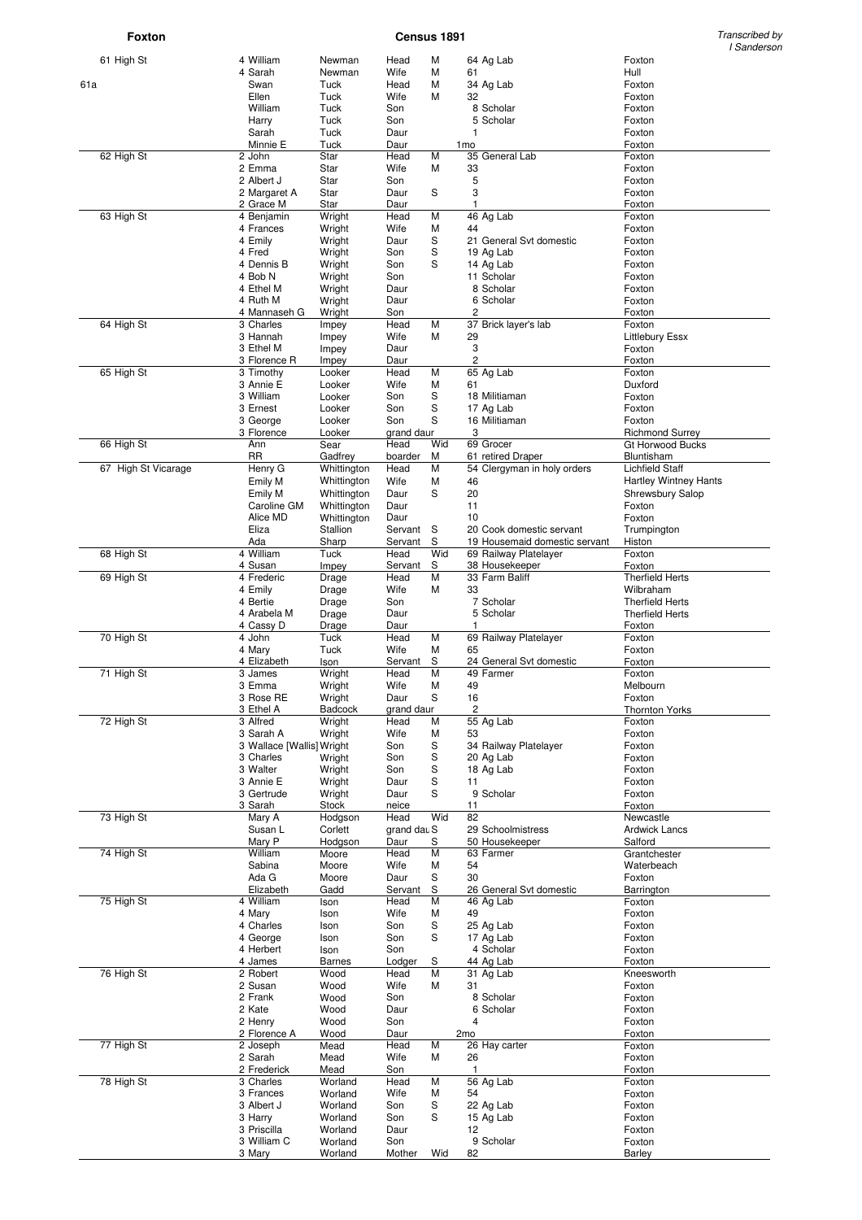**Foxton** Census 1891

Transcribed by<br>I Sanderson

|                     |                           |                  |              |     |                 |                               | <u>Uanuu ja</u>              |
|---------------------|---------------------------|------------------|--------------|-----|-----------------|-------------------------------|------------------------------|
| 61 High St          | 4 William                 | Newman           | Head         | М   |                 | 64 Ag Lab                     | Foxton                       |
|                     | 4 Sarah                   | Newman           | Wife         | М   | 61              |                               | Hull                         |
| 61a                 | Swan                      | Tuck             | Head         | М   |                 | 34 Ag Lab                     | Foxton                       |
|                     | Ellen                     | Tuck             | Wife         | М   | 32              |                               | Foxton                       |
|                     | William                   | <b>Tuck</b>      | Son          |     |                 | 8 Scholar                     | Foxton                       |
|                     | Harry                     | Tuck             | Son          |     |                 | 5 Scholar                     | Foxton                       |
|                     | Sarah                     | Tuck             | Daur         |     | 1               |                               | Foxton                       |
| 62 High St          | Minnie E<br>2 John        | Tuck<br>Star     | Daur<br>Head | M   | 1 <sub>mo</sub> | 35 General Lab                | Foxton<br>Foxton             |
|                     | 2 Emma                    | Star             | Wife         | М   |                 |                               | Foxton                       |
|                     | 2 Albert J                | Star             | Son          |     | 33<br>5         |                               | Foxton                       |
|                     |                           |                  |              |     | 3               |                               |                              |
|                     | 2 Margaret A              | Star             | Daur         | S   | $\mathbf{1}$    |                               | Foxton                       |
| 63 High St          | 2 Grace M                 | Star             | Daur<br>Head | M   |                 | 46 Ag Lab                     | Foxton<br>Foxton             |
|                     | 4 Benjamin<br>4 Frances   | Wright<br>Wright | Wife         | M   | 44              |                               | Foxton                       |
|                     | 4 Emily                   | Wright           | Daur         | S   |                 | 21 General Svt domestic       | Foxton                       |
|                     | 4 Fred                    | Wright           | Son          | S   |                 | 19 Ag Lab                     | Foxton                       |
|                     | 4 Dennis B                | Wright           | Son          | S   |                 | 14 Ag Lab                     | Foxton                       |
|                     | 4 Bob N                   | Wright           | Son          |     |                 | 11 Scholar                    | Foxton                       |
|                     | 4 Ethel M                 | Wright           | Daur         |     |                 | 8 Scholar                     | Foxton                       |
|                     | 4 Ruth M                  | Wright           | Daur         |     |                 | 6 Scholar                     | Foxton                       |
|                     | 4 Mannaseh G              | Wright           | Son          |     | 2               |                               | Foxton                       |
| 64 High St          | 3 Charles                 | Impey            | Head         | M   |                 | 37 Brick layer's lab          | Foxton                       |
|                     | 3 Hannah                  | Impey            | Wife         | М   | 29              |                               | <b>Littlebury Essx</b>       |
|                     | 3 Ethel M                 | Impey            | Daur         |     | 3               |                               | Foxton                       |
|                     | 3 Florence R              | Impey            | Daur         |     | 2               |                               | Foxton                       |
| 65 High St          | 3 Timothy                 | Looker           | Head         | M   |                 | 65 Ag Lab                     | Foxton                       |
|                     | 3 Annie E                 | Looker           | Wife         | М   | 61              |                               | Duxford                      |
|                     | 3 William                 | Looker           | Son          | S   |                 | 18 Militiaman                 | Foxton                       |
|                     | 3 Ernest                  | Looker           | Son          | S   |                 | 17 Ag Lab                     | Foxton                       |
|                     | 3 George                  | Looker           | Son          | S   |                 | 16 Militiaman                 | Foxton                       |
|                     | 3 Florence                | Looker           | grand daur   |     | 3               |                               | <b>Richmond Surrey</b>       |
| 66 High St          | Ann                       | Sear             | Head         | Wid |                 | 69 Grocer                     | <b>Gt Horwood Bucks</b>      |
|                     | <b>RR</b>                 | Gadfrey          | boarder      | м   |                 | 61 retired Draper             | Bluntisham                   |
| 67 High St Vicarage | Henry G                   | Whittington      | Head         | M   |                 | 54 Clergyman in holy orders   | <b>Lichfield Staff</b>       |
|                     | Emily M                   | Whittington      | Wife         | М   | 46              |                               | <b>Hartley Wintney Hants</b> |
|                     | Emily M                   | Whittington      | Daur         | S   | 20              |                               | <b>Shrewsbury Salop</b>      |
|                     | Caroline GM               | Whittington      | Daur         |     | 11              |                               | Foxton                       |
|                     | Alice MD                  | Whittington      | Daur         |     | 10              |                               | Foxton                       |
|                     | Eliza                     | Stallion         | Servant S    |     |                 | 20 Cook domestic servant      | Trumpington                  |
|                     | Ada                       | Sharp            | Servant      | S   |                 | 19 Housemaid domestic servant | Histon                       |
| 68 High St          | 4 William                 | Tuck             | Head         | Wid |                 | 69 Railway Platelayer         | Foxton                       |
|                     | 4 Susan                   | Impey            | Servant      | S   |                 | 38 Housekeeper                | Foxton                       |
| 69 High St          | 4 Frederic                | Drage            | Head         | M   |                 | 33 Farm Baliff                | <b>Therfield Herts</b>       |
|                     | 4 Emily                   | Drage            | Wife         | М   | 33              |                               | Wilbraham                    |
|                     | 4 Bertie                  | Drage            | Son          |     |                 | 7 Scholar                     | <b>Therfield Herts</b>       |
|                     | 4 Arabela M               | Drage            | Daur         |     |                 | 5 Scholar                     | <b>Therfield Herts</b>       |
|                     | 4 Cassy D                 | Drage            | Daur         |     | 1               |                               | Foxton                       |
| 70 High St          | 4 John                    | Tuck             | Head         | M   |                 | 69 Railway Platelayer         | Foxton                       |
|                     | 4 Mary                    | Tuck             | Wife         | М   | 65              |                               | Foxton                       |
|                     | 4 Elizabeth               | Ison             | Servant      | S   |                 | 24 General Svt domestic       | Foxton                       |
| 71 High St          | 3 James                   | Wright           | Head         | М   |                 | 49 Farmer                     | Foxton                       |
|                     | 3 Emma                    | Wright           | Wife         | М   | 49              |                               | Melbourn                     |
|                     | 3 Rose RE                 | Wright           | Daur         | S   | 16              |                               | Foxton                       |
|                     | 3 Ethel A                 | Badcock          | grand daur   |     | 2               |                               | <b>Thornton Yorks</b>        |
| 72 High St          | 3 Alfred                  | Wright           | Head         | М   |                 | 55 Ag Lab                     | Foxton                       |
|                     | 3 Sarah A                 | Wright           | Wife         | М   | 53              |                               | Foxton                       |
|                     | 3 Wallace [Wallis] Wright |                  | Son          | S   |                 | 34 Railway Platelayer         | Foxton                       |
|                     | 3 Charles                 | Wright           | Son          | S   |                 | 20 Ag Lab                     | Foxton                       |
|                     | 3 Walter                  | Wright           | Son          | S   |                 | 18 Ag Lab                     | Foxton                       |
|                     | 3 Annie E                 | Wright           | Daur         | S   | 11              |                               | Foxton                       |
|                     | 3 Gertrude                | Wright           | Daur         | S   |                 | 9 Scholar                     | Foxton                       |
|                     | 3 Sarah                   | Stock            | neice        |     | 11              |                               | Foxton                       |
| 73 High St          | Mary A                    | Hodgson          | Head         | Wid | 82              |                               | Newcastle                    |
|                     | Susan L                   | Corlett          | grand dat S  |     |                 | 29 Schoolmistress             | <b>Ardwick Lancs</b>         |
|                     | Mary P                    | Hodgson          | Daur         | S   |                 | 50 Housekeeper                | Salford                      |
| 74 High St          | William                   | Moore            | Head         | М   |                 | 63 Farmer                     | Grantchester                 |
|                     | Sabina                    | Moore            | Wife         | M   | 54              |                               | Waterbeach                   |
|                     | Ada G                     | Moore            | Daur         | S   | 30              |                               | Foxton                       |
|                     | Elizabeth                 | Gadd             | Servant      | S   |                 | 26 General Svt domestic       | Barrington                   |
| 75 High St          | 4 William                 | Ison             | Head         | М   |                 | 46 Ag Lab                     | Foxton                       |
|                     | 4 Mary                    | Ison             | Wife         | М   | 49              |                               | Foxton                       |
|                     | 4 Charles                 | Ison             | Son          | S   |                 | 25 Ag Lab                     | Foxton                       |
|                     | 4 George                  | Ison             | Son          | S   |                 | 17 Ag Lab                     | Foxton                       |
|                     | 4 Herbert                 | Ison             | Son          |     |                 | 4 Scholar                     | Foxton                       |
|                     | 4 James                   | <b>Barnes</b>    | Lodger       | S   |                 | 44 Ag Lab                     | Foxton                       |
| 76 High St          | 2 Robert                  | Wood             | Head         | М   |                 | 31 Ag Lab                     | Kneesworth                   |
|                     | 2 Susan                   | Wood             | Wife         | м   | 31              |                               | Foxton                       |
|                     | 2 Frank                   | Wood             | Son          |     |                 | 8 Scholar                     | Foxton                       |
|                     | 2 Kate                    | Wood             | Daur         |     |                 | 6 Scholar                     | Foxton                       |
|                     | 2 Henry                   | Wood             | Son          |     | 4               |                               | Foxton                       |
|                     | 2 Florence A              | Wood             | Daur         |     | 2 <sub>mo</sub> |                               | Foxton                       |
| 77 High St          | 2 Joseph                  | Mead             | Head         | М   |                 | 26 Hay carter                 | Foxton                       |
|                     | 2 Sarah                   | Mead             | Wife         | М   | 26              |                               | Foxton                       |
|                     | 2 Frederick               | Mead             | Son          |     | $\mathbf{1}$    |                               | Foxton                       |
| 78 High St          | 3 Charles                 | Worland          | Head         | M   |                 | 56 Ag Lab                     | Foxton                       |
|                     | 3 Frances                 | Worland          | Wife         | M   | 54              |                               | Foxton                       |
|                     | 3 Albert J                | Worland          | Son          | S   |                 | 22 Ag Lab                     | Foxton                       |
|                     | 3 Harry                   | Worland          | Son          | S   |                 | 15 Ag Lab                     | Foxton                       |
|                     | 3 Priscilla               | Worland          | Daur         |     | 12              |                               | Foxton                       |
|                     | 3 William C               | Worland          | Son          |     |                 | 9 Scholar                     | Foxton                       |
|                     | 3 Mary                    | Worland          | Mother       | Wid | 82              |                               | Barley                       |
|                     |                           |                  |              |     |                 |                               |                              |